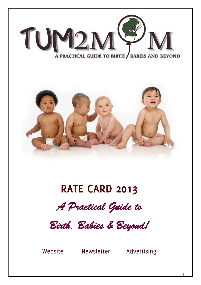

# **RATE CARD 2013**



*Birth, Babies & Beyond!* 

Website Newsletter Advertising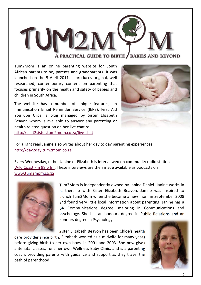

A PRACTICAL GUIDE TO BIRTH / BABIES AND BEYOND

Tum2Mom is an online parenting website for South African parents‐to‐be, parents and grandparents. It was launched on the 5 April 2011. It produces original, well researched, contemporary content on parenting that focuses primarily on the health and safety of babies and children in South Africa.

The website has a number of unique features; an Immunisation Email Reminder Service (IERS), First Aid YouTube Clips, a blog managed by Sister Elizabeth Beavon whom is available to answer any parenting or health related question on her live chat roll – http://chat2sister.tum2mom.co.za/live‐chat



For a light read Janine also writes about her day to day parenting experiences http://day2day.tum2mom.co.za

Every Wednesday, either Janine or Elizabeth is interviewed on community radio station Wild Coast Fm 98.6 fm. These interviews are then made available as podcasts on www.tum2mom.co.za



Tum2Mom is independently owned by Janine Daniel. Janine works in partnership with Sister Elizabeth Beavon. Janine was inspired to launch Tum2Mom when she became a new mom in September 2008 and found very little local information about parenting. Janine has a BA Communications degree, majoring in Communications and Psychology. She has an honours degree in Public Relations and an honours degree in Psychology.

Sister Elizabeth Beavon has been Chloe's health

care provider since birth. Elizabeth worked as a midwife for many years before giving birth to her own boys, in 2001 and 2003. She now gives antenatal classes, runs her own Wellness Baby Clinic, and is a parenting coach, providing parents with guidance and support as they travel the path of parenthood.

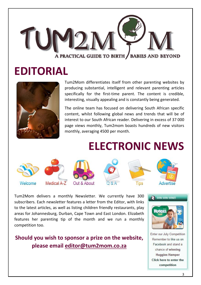

# **EDITORIAL**



Tum2Mom differentiates itself from other parenting websites by producing substantial, intelligent and relevant parenting articles specifically for the first-time parent. The content is credible, interesting, visually appealing and is constantly being generated.

The online team has focused on delivering South African specific content, whilst following global news and trends that will be of interest to our South African reader. Delivering in excess of 37 000 page views monthly, Tum2mom boasts hundreds of new visitors monthly, averaging 4500 per month.

# **ELECTRONIC NEWS**



Tum2Mom delivers a monthly Newsletter. We currently have 300 subscribers. Each newsletter features a letter from the Editor, with links to the latest articles, as well as listing children friendly restaurants, play areas for Johannesburg, Durban, Cape Town and East London. Elizabeth features her parenting tip of the month and we run a monthly competition too.

### **Should you wish to sponsor a prize on the website, please email editor@tum2mom.co.za**



Enter our July Competition Remember to like us on Facebook and stand a chance of winning **Huggies Hamper** Click here to enter the competition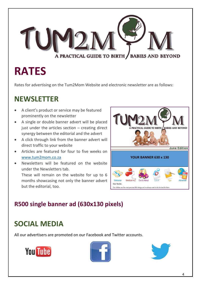

# **RATES**

Rates for advertising on the Tum2Mom Website and electronic newsletter are as follows:

# **NEWSLETTER**

- A client's product or service may be featured prominently on the newsletter
- A single or double banner advert will be placed just under the articles section  $-$  creating direct synergy between the editorial and the advert
- A click through link from the banner advert will direct traffic to your website
- Articles are featured for four to five weeks on www.tum2mom.co.za
- Newsletters will be featured on the website under the Newsletters tab.

These will remain on the website for up to 6 months showcasing not only the banner advert but the editorial, too.



# **R500 single banner ad (630x130 pixels)**

# **SOCIAL MEDIA**

All our advertisers are promoted on our Facebook and Twitter accounts.





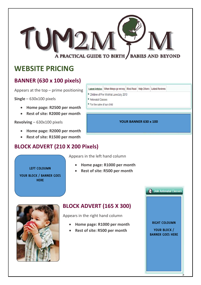A PRACTICAL GUIDE TO BIRTH / BABIES AND BEYOND

# **WEBSITE PRICING**

#### **BANNER (630 x 100 pixels)**

Appears at the top – prime positioning

**Single** – 630x100 pixels

- **Home page: R2500 per month**
- **Rest of site: R2000 per month**

**Revolving** – 630x100 pixels

- **Home page: R2000 per month**
- **Rest of site: R1500 per month**

### **BLOCK ADVERT (210 X 200 Pixels)**

Latest Articles | When things go wrong | Most Read | Help Others | Latest Reviews

- <sup>o</sup> Children of Fire Wishlist June/July 2013
- <sup>o</sup> Antenatal Classes
- <sup>o</sup> For the sake of our child

#### **YOUR BANNER 630 x 100**

Appears in the left hand column

 **Home page: R1000 per month Rest of site: R500 per month**

**LEFT COLOUMN** 

**YOUR BLOCK / BANNER GOES HERE** 

**BLOCK ADVERT (165 X 300)**

Appears in the right hand column

- **Home page: R1000 per month**
- **Rest of site: R500 per month**